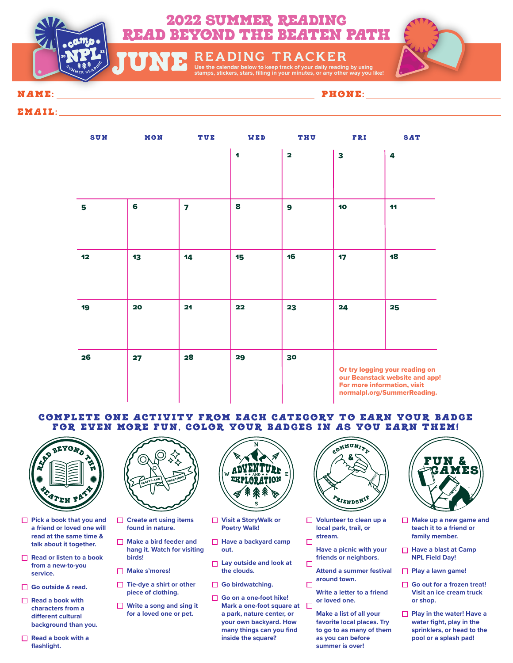

**USE TO KEEP TRACK OF A LANCE OF STATE OF STAMPS**<br>TUNE **start of the call in the stars, stars, stars, stars, stars, stars, stars, stars, stars, stars, stars, file** 

## NAME: PHONE:

## EMAIL:

| <b>SUN</b> | MON | TUE                     | WED                  | <b>THU</b>              | FRI                                                                                                                            | <b>SAT</b> |
|------------|-----|-------------------------|----------------------|-------------------------|--------------------------------------------------------------------------------------------------------------------------------|------------|
|            |     |                         | $\blacktriangleleft$ | $\overline{\mathbf{2}}$ | 3                                                                                                                              | 4          |
| 5          | 6   | $\overline{\mathbf{z}}$ | 8                    | $\mathbf{9}$            | 10                                                                                                                             | 11         |
| 12         | 13  | 14                      | 15                   | 16                      | 17                                                                                                                             | 18         |
| 19         | 20  | 21                      | 22                   | 23                      | 24                                                                                                                             | 25         |
| 26         | 27  | 28                      | 29                   | 30                      | Or try logging your reading on<br>our Beanstack website and app!<br>For more information, visit<br>normalpl.org/SummerReading. |            |

## COMPLETE ONE ACTIVITY FROM EACH CATEGORY TO EARN YOUR BADGE FOR EVEN MORE FUN, COLOR YOUR BADGES IN AS YOU EARN THEM!



- **Pick a book that you and a friend or loved one will read at the same time & talk about it together.**
- **Read or listen to a book from a new-to-you service.**
- **Go outside & read.**
- **Read a book with characters from a**  different cultural **background than you.**
- **Read a book with a flashlight.**



- **Create art using items found in nature.**
- **Make a bird feeder and hang it. Watch for visiting birds!**
- **Make s'mores!**
- **Tie-dye a shirt or other piece of clothing.**
- **Write a song and sing it for a loved one or pet.**



- **Visit a StoryWalk or Poetry Walk!**
- **Have a backyard camp out.**
- **Lay outside and look at the clouds.**
- Go birdwatching.
- **Go on a one-foot hike! Mark a one-foot square at a park, nature center, or your own backyard. How many things can you find inside the square?**



- **Volunteer to clean up a local park, trail, or stream.**
- $\Box$ **Have a picnic with your friends or neighbors.**  $\Box$
- **Attend a summer festival around town.**  $\Box$ 
	- **Write a letter to a friend or loved one.**

**Make a list of all your favorite local places. Try to go to as many of them as you can before summer is over!**



- **Make up a new game and teach it to a friend or family member.**
- **Have a blast at Camp NPL Field Day!**
- **Play a lawn game!**
- **Go out for a frozen treat! Visit an ice cream truck or shop.**
- **Play in the water! Have a water fight, play in the sprinklers, or head to the pool or a splash pad!**